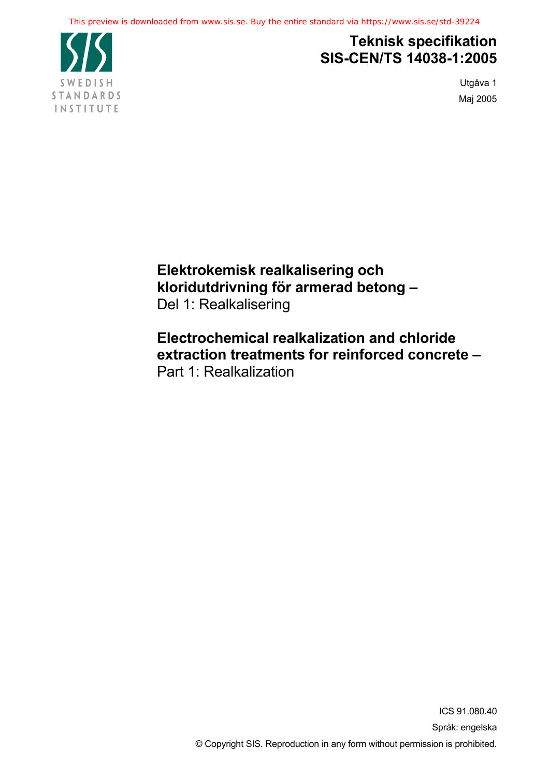

# **Teknisk specifikation SIS-CEN/TS 14038-1:2005**

Utgåva 1 Maj 2005

**Elektrokemisk realkalisering och kloridutdrivning för armerad betong –** Del 1: Realkalisering

**Electrochemical realkalization and chloride extraction treatments for reinforced concrete –** Part 1: Realkalization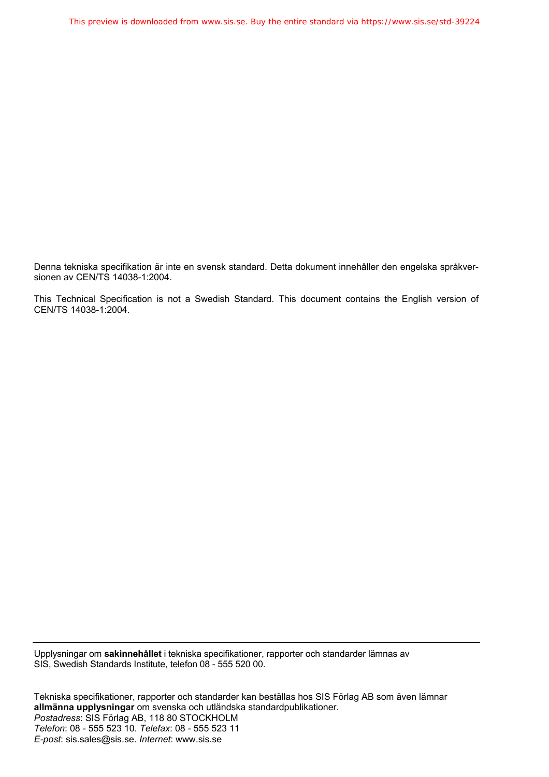Denna tekniska specifikation är inte en svensk standard. Detta dokument innehåller den engelska språkversionen av CEN/TS 14038-1:2004.

This Technical Specification is not a Swedish Standard. This document contains the English version of CEN/TS 14038-1:2004.

Upplysningar om **sakinnehållet** i tekniska specifikationer, rapporter och standarder lämnas av SIS, Swedish Standards Institute, telefon 08 - 555 520 00.

Tekniska specifikationer, rapporter och standarder kan beställas hos SIS Förlag AB som även lämnar **allmänna upplysningar** om svenska och utländska standardpublikationer. *Postadress*: SIS Förlag AB, 118 80 STOCKHOLM *Telefon*: 08 - 555 523 10. *Telefax*: 08 - 555 523 11 *E-post*: sis.sales@sis.se. *Internet*: www.sis.se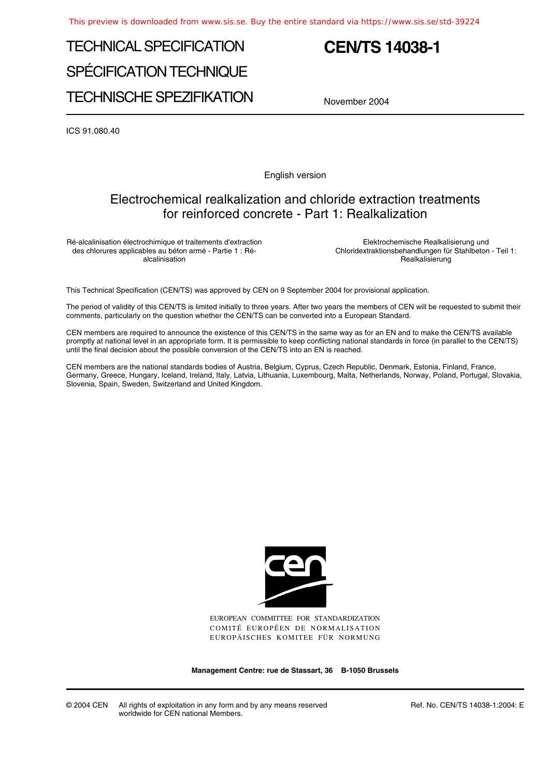# TECHNICAL SPECIFICATION SPÉCIFICATION TECHNIQUE TECHNISCHE SPEZIFIKATION

# **CEN/TS 14038-1**

November 2004

ICS 91.080.40

English version

## Electrochemical realkalization and chloride extraction treatments for reinforced concrete - Part 1: Realkalization

Ré-alcalinisation électrochimique et traitements d'extraction des chlorures applicables au béton armé - Partie 1 : Réalcalinisation

Elektrochemische Realkalisierung und Chloridextraktionsbehandlungen für Stahlbeton - Teil 1: Realkalisierung

This Technical Specification (CEN/TS) was approved by CEN on 9 September 2004 for provisional application.

The period of validity of this CEN/TS is limited initially to three years. After two years the members of CEN will be requested to submit their comments, particularly on the question whether the CEN/TS can be converted into a European Standard.

CEN members are required to announce the existence of this CEN/TS in the same way as for an EN and to make the CEN/TS available promptly at national level in an appropriate form. It is permissible to keep conflicting national standards in force (in parallel to the CEN/TS) until the final decision about the possible conversion of the CEN/TS into an EN is reached.

CEN members are the national standards bodies of Austria, Belgium, Cyprus, Czech Republic, Denmark, Estonia, Finland, France, Germany, Greece, Hungary, Iceland, Ireland, Italy, Latvia, Lithuania, Luxembourg, Malta, Netherlands, Norway, Poland, Portugal, Slovakia, Slovenia, Spain, Sweden, Switzerland and United Kingdom.



EUROPEAN COMMITTEE FOR STANDARDIZATION COMITÉ EUROPÉEN DE NORMALISATION EUROPÄISCHES KOMITEE FÜR NORMUNG

**Management Centre: rue de Stassart, 36 B-1050 Brussels**

© 2004 CEN All rights of exploitation in any form and by any means reserved worldwide for CEN national Members.

Ref. No. CEN/TS 14038-1:2004: E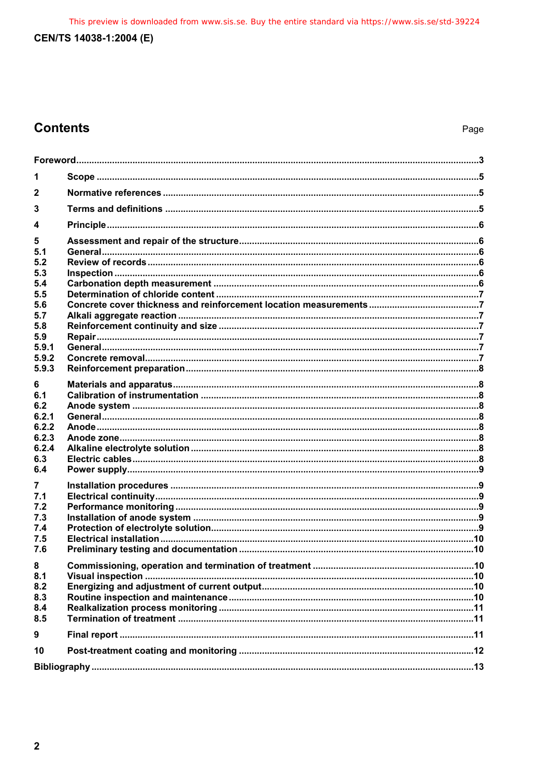This preview is downloaded from www.sis.se. Buy the entire standard via https://www.sis.se/std-39224

## CEN/TS 14038-1:2004 (E)

# **Contents**

| 1            |  |  |
|--------------|--|--|
| $\mathbf{2}$ |  |  |
| 3            |  |  |
| 4            |  |  |
| 5            |  |  |
| 5.1<br>5.2   |  |  |
| 5.3          |  |  |
| 5.4          |  |  |
| 5.5          |  |  |
| 5.6          |  |  |
| 5.7          |  |  |
| 5.8          |  |  |
| 5.9<br>5.9.1 |  |  |
| 5.9.2        |  |  |
| 5.9.3        |  |  |
|              |  |  |
| 6            |  |  |
| 6.1<br>6.2   |  |  |
| 6.2.1        |  |  |
| 6.2.2        |  |  |
| 6.2.3        |  |  |
| 6.2.4        |  |  |
| 6.3          |  |  |
| 6.4          |  |  |
| 7            |  |  |
| 7.1          |  |  |
| 7.2          |  |  |
| 7.3          |  |  |
| 7.4          |  |  |
| 7.5          |  |  |
| 7.6          |  |  |
| 8            |  |  |
| 8.1          |  |  |
| 8.2          |  |  |
| 8.3          |  |  |
| 8.4          |  |  |
| 8.5          |  |  |
| 9            |  |  |
| 10           |  |  |
|              |  |  |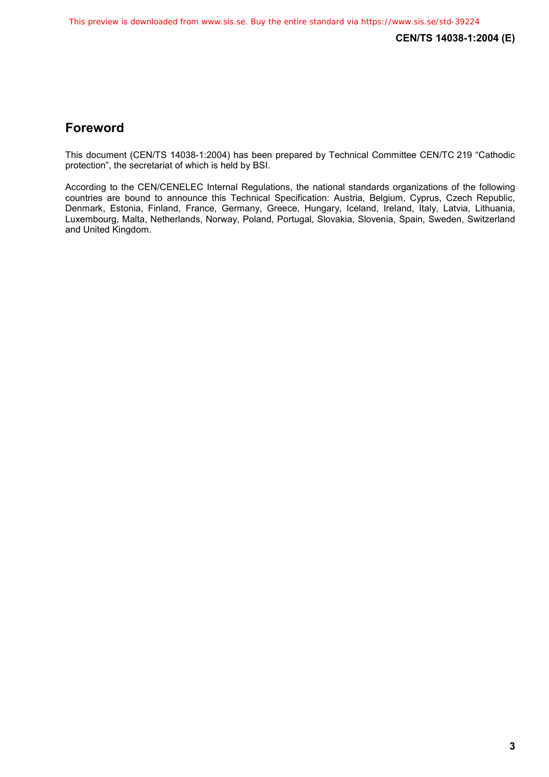## **Foreword**

This document (CEN/TS 14038-1:2004) has been prepared by Technical Committee CEN/TC 219 "Cathodic protection", the secretariat of which is held by BSI.

According to the CEN/CENELEC Internal Regulations, the national standards organizations of the following countries are bound to announce this Technical Specification: Austria, Belgium, Cyprus, Czech Republic, Denmark, Estonia, Finland, France, Germany, Greece, Hungary, Iceland, Ireland, Italy, Latvia, Lithuania, Luxembourg, Malta, Netherlands, Norway, Poland, Portugal, Slovakia, Slovenia, Spain, Sweden, Switzerland and United Kingdom.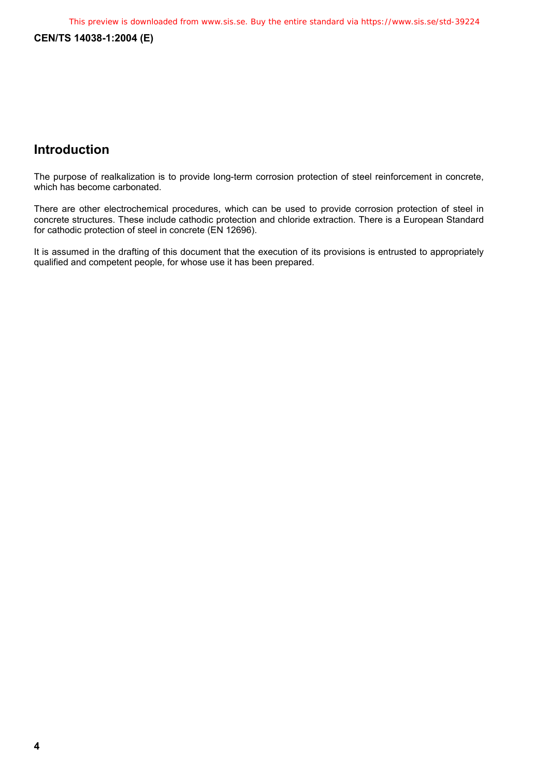**CEN/TS 14038-1:2004 (E)** 

## **Introduction**

The purpose of realkalization is to provide long-term corrosion protection of steel reinforcement in concrete, which has become carbonated.

There are other electrochemical procedures, which can be used to provide corrosion protection of steel in concrete structures. These include cathodic protection and chloride extraction. There is a European Standard for cathodic protection of steel in concrete (EN 12696).

It is assumed in the drafting of this document that the execution of its provisions is entrusted to appropriately qualified and competent people, for whose use it has been prepared.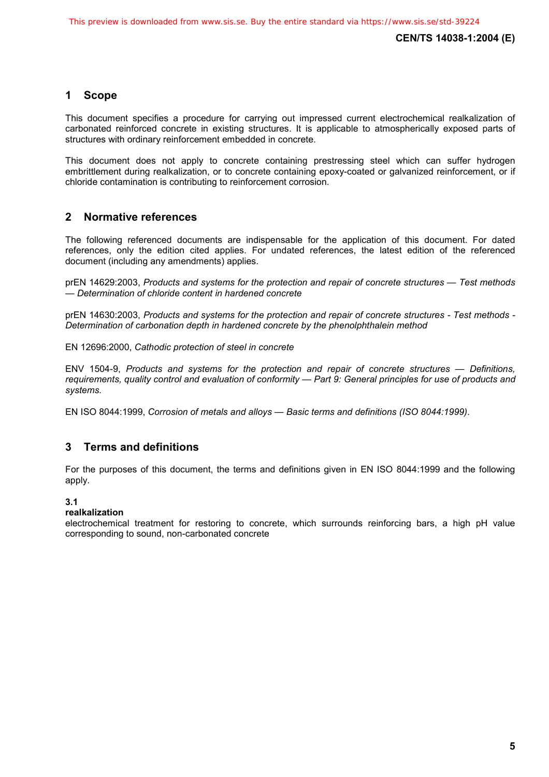## **1 Scope**

This document specifies a procedure for carrying out impressed current electrochemical realkalization of carbonated reinforced concrete in existing structures. It is applicable to atmospherically exposed parts of structures with ordinary reinforcement embedded in concrete.

This document does not apply to concrete containing prestressing steel which can suffer hydrogen embrittlement during realkalization, or to concrete containing epoxy-coated or galvanized reinforcement, or if chloride contamination is contributing to reinforcement corrosion.

## **2 Normative references**

The following referenced documents are indispensable for the application of this document. For dated references, only the edition cited applies. For undated references, the latest edition of the referenced document (including any amendments) applies.

prEN 14629:2003, *Products and systems for the protection and repair of concrete structures — Test methods — Determination of chloride content in hardened concrete*

prEN 14630:2003, *Products and systems for the protection and repair of concrete structures - Test methods - Determination of carbonation depth in hardened concrete by the phenolphthalein method*

EN 12696:2000, *Cathodic protection of steel in concrete*

ENV 1504-9, *Products and systems for the protection and repair of concrete structures — Definitions, requirements, quality control and evaluation of conformity — Part 9: General principles for use of products and systems.* 

EN ISO 8044:1999, *Corrosion of metals and alloys — Basic terms and definitions (ISO 8044:1999)*.

## **3 Terms and definitions**

For the purposes of this document, the terms and definitions given in EN ISO 8044:1999 and the following apply.

#### **3.1**

#### **realkalization**

electrochemical treatment for restoring to concrete, which surrounds reinforcing bars, a high pH value corresponding to sound, non-carbonated concrete